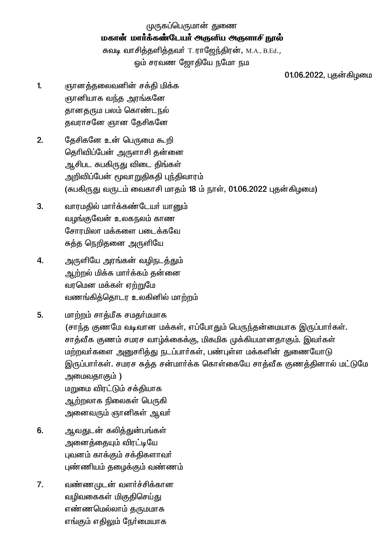முருகப்பெருமான் துணை மகான் மார்க்கண்டேயர் அருளிய அருளாசி நூல் சுவடி வாசித்தளித்தவர் T. ராஜேந்திரன், M.A., B.Ed., ஒம் சரவண ஜோதியே நமோ நம

01.06.2022, புதன்கிழமை

- $\mathbf{1}$ ஞானத்தலைவனின் சக்தி மிக்க ஞானியாக வந்த அரங்கனே தானதரும பலம் கொண்டநல் தவராசனே ஞான தேசிகனே
- $2.$ தேசிகனே உன் பெருமை கூறி தெரிவிப்பேன் அருளாசி தன்னை ஆசிபட சுபகிருது விடை திங்கள் அறிவிப்பேன் மூவாறுதிகதி புந்திவாரம் (சுபகிருது வருடம் வைகாசி மாதம் 18 ம் நாள், 01.06.2022 புதன்கிழமை)
- $3.$ வாரமதில் மார்க்கண்டேயர் யானும் வழங்குவேன் உலகநலம் காண சோரமிலா மக்களை படைக்கவே சுத்த நெறிதனை அருளியே
- 4. அருளியே அரங்கன் வழிநடத்தும் ஆற்றல் மிக்க மார்க்கம் தன்னை வரமென மக்கள் ஏற்றுமே வணங்கிக்கொடர உலகினில் மாற்றம்
- 5. மாற்றம் சாக்மீக சமகர்மமாக (சாந்த குணமே வடிவான மக்கள், எப்போதும் பெருந்தன்மையாக இருப்பார்கள். சாத்வீக குணம் சமரச வாழ்க்கைக்கு, மிகமிக முக்கியமானதாகும். இவர்கள் மற்றவர்களை அனுசரித்து நடப்பார்கள், பண்புள்ள மக்களின் துணையோடு இருப்பார்கள். சமரச சுத்த சன்மார்க்க கொள்கையே சாத்வீக குணத்தினால் மட்டுமே அமைவதாகும் ) மறுமை விரட்டும் சக்தியாக ஆற்றலாக நிலைகள் பெருகி அனைவரும் ஞானிகள் ஆவா்
- 6. ஆவதுடன் கலித்துன்பங்கள் அனைத்தையும் விரட்டியே புவனம் காக்கும் சக்திகளாவர் புண்ணியம் தமைக்கும் வண்ணம்
- $\overline{7}$ . வண்ணமுடன் வளர்ச்சிக்கான வழிவகைகள் மிகுதிசெய்து எண்ணமெல்லாம் தருமமாக எங்கும் எதிலும் நேர்மையாக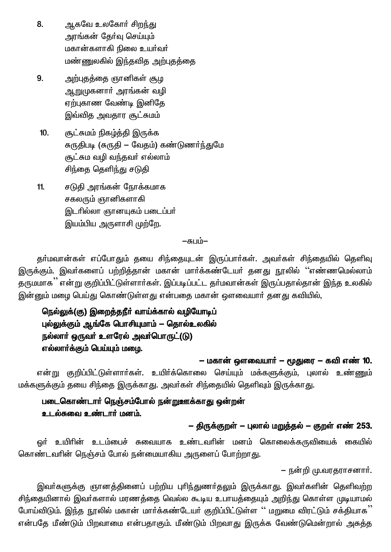- ஆகவே உலகோர் சிறந்து 8. அரங்கன் தேர்வு செய்யும் மகான்களாகி நிலை உயர்வர் மண்ணுலகில் இந்தவித அற்புதத்தை
- 9. அற்புதத்தை ஞானிகள் சூழ <u>ஆறு</u>முகனாா் அரங்கன் வழி ஏற்புகாண வேண்டி இனிதே இவ்வித அவதார சூட்சுமம்
- சூட்சுமம் நிகழ்த்தி இருக்க  $10.$ சுருதிபடி (சுருதி – வேதம்) கண்டுணர்ந்துமே சூட்சும வழி வந்தவர் எல்லாம் சிந்தை தெளிந்து சடுதி
- $11.$ சடுதி அரங்கன் நோக்கமாக சகலரும் ஞானிகளாகி இடரில்லா ஞானயுகம் படைப்பர் இயம்பிய அருளாசி முற்றே.

## $-\pi$ un  $-$

தா்மவான்கள் எப்போதும் தயை சிந்தையுடன் இருப்பாா்கள். அவா்கள் சிந்தையில் தெளிவு இருக்கும். இவர்களைப் பற்றித்தான் மகான் மார்க்கண்டேயர் தனது நூலில் ''எண்ணமெல்லாம் தருமமாக '' என்று குறிப்பிட்டுள்ளார்கள். இப்படிப்பட்ட தா்மவான்கள் இருப்பதால்தான் இந்த உலகில் இன்னும் மழை பெய்து கொண்டுள்ளது என்பதை மகான் ஔவையார் தனது கவியில்,

## நெல்லுக்(கு) இறைத்தநீர் வாய்க்கால் வழியோடிப் புல்லுக்கும் ஆங்கே பொசியுமாம் — தொல்உலகில் நல்லார் ஒருவர் உளரேல் அவர்பொருட்(டு) எல்லார்க்கும் பெய்யும் மழை.

– மகான் ஔவையார் – மூதுரை – கவி எண் 10.

என்று குறிப்பிட்டுள்ளாா்கள். உயிா்க்கொலை செய்யும் மக்களுக்கும், புலால் உண்ணும் மக்களுக்கும் தயை சிந்தை இருக்காது. அவர்கள் சிந்தையில் தெளிவும் இருக்காது.

## படைகொண்டார் நெஞ்சம்போல் நன்றுஊக்காது ஒன்றன் உடல்சுவை உண்டார் மனம்.

## – திருக்குறள் – பலால் மறுத்தல் – குறள் எண் 253.

ஒர் உயிரின் உடம்பைச் சுவையாக உண்டவரின் மனம் கொலைக்கருவியைக் கையில் கொண்டவரின் நெஞ்சம் போல் நன்மையாகிய அருளைப் போற்றாது.

– நன்றி மு.வரகராசனார்.

இவா்களுக்கு ஞானத்தினைப் பற்றிய புாிந்துணா்தலும் இருக்காது. இவா்களின் தெளிவற்ற சிந்தையினால் இவர்களால் மரணத்தை வெல்ல கூடிய உபாயத்தையும் அறிந்து கொள்ள முடியாமல் போய்விடும். இந்த நூலில் மகான் மார்க்கண்டேயர் குறிப்பிட்டுள்ள '' மறுமை விரட்டும் சக்தியாக<sup>''</sup> என்பதே மீண்டும் பிறவாமை என்பதாகும். மீண்டும் பிறவாது இருக்க வேண்டுமென்றால் அசுத்த